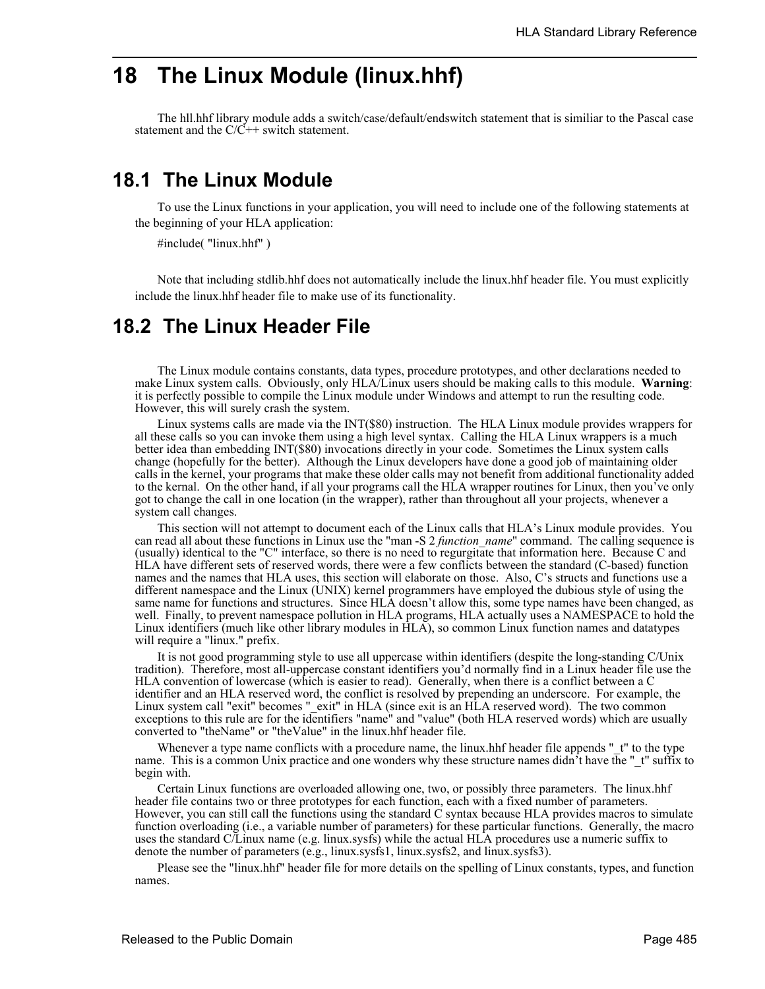## **18 The Linux Module (linux.hhf)**

The hll.hhf library module adds a switch/case/default/endswitch statement that is similiar to the Pascal case statement and the  $C/\tilde{C}$ ++ switch statement.

## **18.1 The Linux Module**

To use the Linux functions in your application, you will need to include one of the following statements at the beginning of your HLA application:

#include( "linux.hhf" )

Note that including stdlib.hhf does not automatically include the linux.hhf header file. You must explicitly include the linux.hhf header file to make use of its functionality.

## **18.2 The Linux Header File**

The Linux module contains constants, data types, procedure prototypes, and other declarations needed to make Linux system calls. Obviously, only HLA/Linux users should be making calls to this module. **Warning**: it is perfectly possible to compile the Linux module under Windows and attempt to run the resulting code. However, this will surely crash the system.

Linux systems calls are made via the INT(\$80) instruction. The HLA Linux module provides wrappers for all these calls so you can invoke them using a high level syntax. Calling the HLA Linux wrappers is a much better idea than embedding INT(\$80) invocations directly in your code. Sometimes the Linux system calls change (hopefully for the better). Although the Linux developers have done a good job of maintaining older calls in the kernel, your programs that make these older calls may not benefit from additional functionality added to the kernal. On the other hand, if all your programs call the HLA wrapper routines for Linux, then you've only got to change the call in one location (in the wrapper), rather than throughout all your projects, whenever a system call changes.

This section will not attempt to document each of the Linux calls that HLA's Linux module provides. You can read all about these functions in Linux use the "man -S 2 *function\_name*" command. The calling sequence is (usually) identical to the "C" interface, so there is no need to regurgitate that information here. Because C and HLA have different sets of reserved words, there were a few conflicts between the standard (C-based) function names and the names that HLA uses, this section will elaborate on those. Also, C's structs and functions use a different namespace and the Linux (UNIX) kernel programmers have employed the dubious style of using the same name for functions and structures. Since HLA doesn't allow this, some type names have been changed, as well. Finally, to prevent namespace pollution in HLA programs, HLA actually uses a NAMESPACE to hold the Linux identifiers (much like other library modules in HLA), so common Linux function names and datatypes will require a "linux." prefix.

It is not good programming style to use all uppercase within identifiers (despite the long-standing C/Unix tradition). Therefore, most all-uppercase constant identifiers you'd normally find in a Linux header file use the HLA convention of lowercase (which is easier to read). Generally, when there is a conflict between a C identifier and an HLA reserved word, the conflict is resolved by prepending an underscore. For example, the Linux system call "exit" becomes "\_exit" in HLA (since exit is an HLA reserved word). The two common exceptions to this rule are for the identifiers "name" and "value" (both HLA reserved words) which are usually converted to "theName" or "theValue" in the linux.hhf header file.

Whenever a type name conflicts with a procedure name, the linux.hhf header file appends " t" to the type name. This is a common Unix practice and one wonders why these structure names didn't have the " t" suffix to begin with.

Certain Linux functions are overloaded allowing one, two, or possibly three parameters. The linux.hhf header file contains two or three prototypes for each function, each with a fixed number of parameters. However, you can still call the functions using the standard C syntax because HLA provides macros to simulate function overloading (i.e., a variable number of parameters) for these particular functions. Generally, the macro uses the standard C/Linux name (e.g. linux.sysfs) while the actual HLA procedures use a numeric suffix to denote the number of parameters (e.g., linux.sysfs1, linux.sysfs2, and linux.sysfs3).

Please see the "linux.hhf" header file for more details on the spelling of Linux constants, types, and function names.